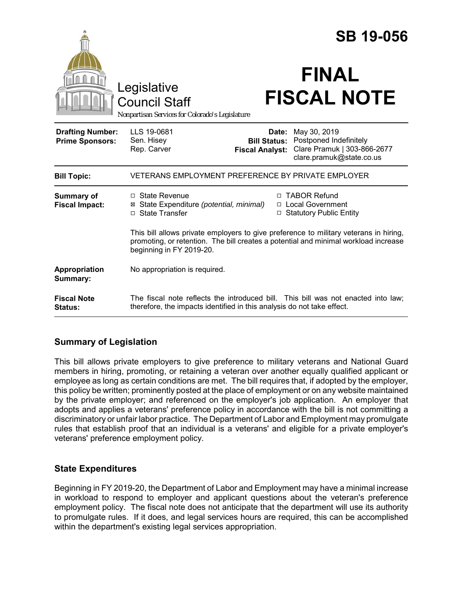|                                                   | Legislative<br><b>Council Staff</b><br>Nonpartisan Services for Colorado's Legislature |                                                        | <b>SB 19-056</b><br><b>FINAL</b><br><b>FISCAL NOTE</b>                                                                                                                                                                                                 |
|---------------------------------------------------|----------------------------------------------------------------------------------------|--------------------------------------------------------|--------------------------------------------------------------------------------------------------------------------------------------------------------------------------------------------------------------------------------------------------------|
| <b>Drafting Number:</b><br><b>Prime Sponsors:</b> | LLS 19-0681<br>Sen. Hisey<br>Rep. Carver                                               | Date:<br><b>Bill Status:</b><br><b>Fiscal Analyst:</b> | May 30, 2019<br>Postponed Indefinitely<br>Clare Pramuk   303-866-2677<br>clare.pramuk@state.co.us                                                                                                                                                      |
| <b>Bill Topic:</b>                                | VETERANS EMPLOYMENT PREFERENCE BY PRIVATE EMPLOYER                                     |                                                        |                                                                                                                                                                                                                                                        |
| <b>Summary of</b><br><b>Fiscal Impact:</b>        | $\Box$ State Revenue<br>⊠ State Expenditure (potential, minimal)<br>□ State Transfer   | п                                                      | <b>TABOR Refund</b><br>□ Local Government<br>□ Statutory Public Entity<br>This bill allows private employers to give preference to military veterans in hiring,<br>promoting, or retention. The bill creates a potential and minimal workload increase |
|                                                   | beginning in FY 2019-20.                                                               |                                                        |                                                                                                                                                                                                                                                        |
| Appropriation<br>Summary:                         | No appropriation is required.                                                          |                                                        |                                                                                                                                                                                                                                                        |
| <b>Fiscal Note</b><br>Status:                     | therefore, the impacts identified in this analysis do not take effect.                 |                                                        | The fiscal note reflects the introduced bill. This bill was not enacted into law;                                                                                                                                                                      |

## **Summary of Legislation**

This bill allows private employers to give preference to military veterans and National Guard members in hiring, promoting, or retaining a veteran over another equally qualified applicant or employee as long as certain conditions are met. The bill requires that, if adopted by the employer, this policy be written; prominently posted at the place of employment or on any website maintained by the private employer; and referenced on the employer's job application. An employer that adopts and applies a veterans' preference policy in accordance with the bill is not committing a discriminatory or unfair labor practice. The Department of Labor and Employment may promulgate rules that establish proof that an individual is a veterans' and eligible for a private employer's veterans' preference employment policy.

## **State Expenditures**

Beginning in FY 2019-20, the Department of Labor and Employment may have a minimal increase in workload to respond to employer and applicant questions about the veteran's preference employment policy. The fiscal note does not anticipate that the department will use its authority to promulgate rules. If it does, and legal services hours are required, this can be accomplished within the department's existing legal services appropriation.